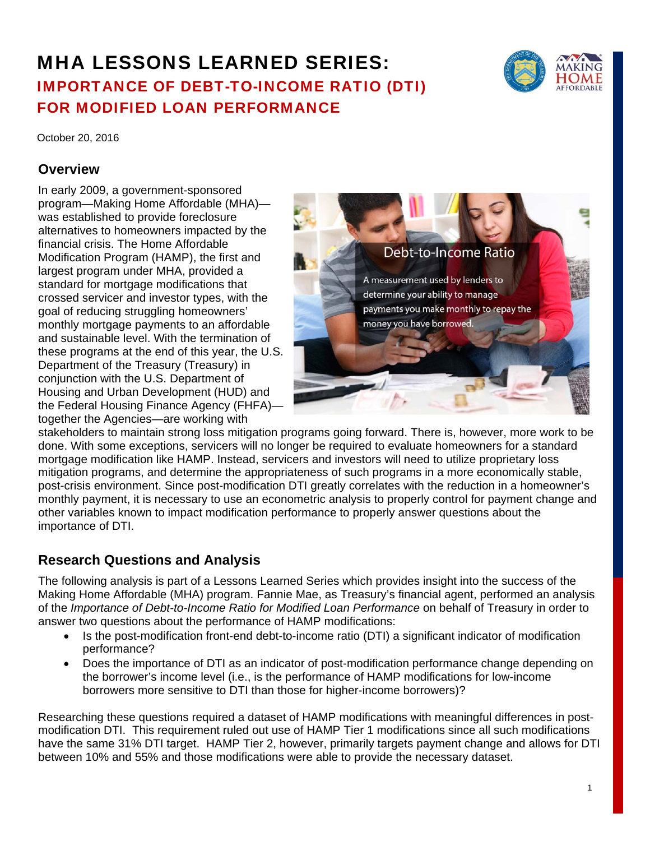# MHA LESSONS LEARNED SERIES: IMPORTANCE OF DEBT-TO-INCOME RATIO (DTI) FOR MODIFIED LOAN PERFORMANCE



October 20, 2016

## **Overview**

In early 2009, a government-sponsored program—Making Home Affordable (MHA) was established to provide foreclosure alternatives to homeowners impacted by the financial crisis. The Home Affordable Modification Program (HAMP), the first and largest program under MHA, provided a standard for mortgage modifications that crossed servicer and investor types, with the goal of reducing struggling homeowners' monthly mortgage payments to an affordable and sustainable level. With the termination of these programs at the end of this year, the U.S. Department of the Treasury (Treasury) in conjunction with the U.S. Department of Housing and Urban Development (HUD) and the Federal Housing Finance Agency (FHFA) together the Agencies—are working with



stakeholders to maintain strong loss mitigation programs going forward. There is, however, more work to be done. With some exceptions, servicers will no longer be required to evaluate homeowners for a standard mortgage modification like HAMP. Instead, servicers and investors will need to utilize proprietary loss mitigation programs, and determine the appropriateness of such programs in a more economically stable, post-crisis environment. Since post-modification DTI greatly correlates with the reduction in a homeowner's monthly payment, it is necessary to use an econometric analysis to properly control for payment change and other variables known to impact modification performance to properly answer questions about the importance of DTI.

# **Research Questions and Analysis**

The following analysis is part of a Lessons Learned Series which provides insight into the success of the Making Home Affordable (MHA) program. Fannie Mae, as Treasury's financial agent, performed an analysis of the *Importance of Debt-to-Income Ratio for Modified Loan Performance* on behalf of Treasury in order to answer two questions about the performance of HAMP modifications:

- Is the post-modification front-end debt-to-income ratio (DTI) a significant indicator of modification performance?
- Does the importance of DTI as an indicator of post-modification performance change depending on the borrower's income level (i.e., is the performance of HAMP modifications for low-income borrowers more sensitive to DTI than those for higher-income borrowers)?

Researching these questions required a dataset of HAMP modifications with meaningful differences in postmodification DTI. This requirement ruled out use of HAMP Tier 1 modifications since all such modifications have the same 31% DTI target. HAMP Tier 2, however, primarily targets payment change and allows for DTI between 10% and 55% and those modifications were able to provide the necessary dataset.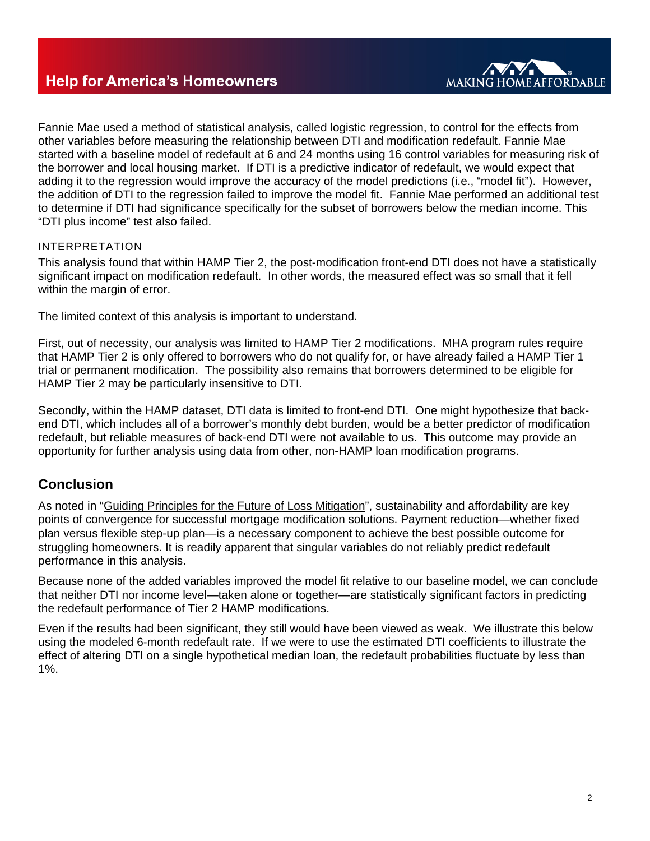

Fannie Mae used a method of statistical analysis, called logistic regression, to control for the effects from other variables before measuring the relationship between DTI and modification redefault. Fannie Mae started with a baseline model of redefault at 6 and 24 months using 16 control variables for measuring risk of the borrower and local housing market. If DTI is a predictive indicator of redefault, we would expect that adding it to the regression would improve the accuracy of the model predictions (i.e., "model fit"). However, the addition of DTI to the regression failed to improve the model fit. Fannie Mae performed an additional test to determine if DTI had significance specifically for the subset of borrowers below the median income. This "DTI plus income" test also failed.

### INTERPRETATION

This analysis found that within HAMP Tier 2, the post-modification front-end DTI does not have a statistically significant impact on modification redefault. In other words, the measured effect was so small that it fell within the margin of error.

The limited context of this analysis is important to understand.

First, out of necessity, our analysis was limited to HAMP Tier 2 modifications. MHA program rules require that HAMP Tier 2 is only offered to borrowers who do not qualify for, or have already failed a HAMP Tier 1 trial or permanent modification. The possibility also remains that borrowers determined to be eligible for HAMP Tier 2 may be particularly insensitive to DTI.

Secondly, within the HAMP dataset, DTI data is limited to front-end DTI. One might hypothesize that backend DTI, which includes all of a borrower's monthly debt burden, would be a better predictor of modification redefault, but reliable measures of back-end DTI were not available to us. This outcome may provide an opportunity for further analysis using data from other, non-HAMP loan modification programs.

## **Conclusion**

As noted in "Guiding Principles for the Future of Loss Mitigation", sustainability and affordability are key points of convergence for successful mortgage modification solutions. Payment reduction—whether fixed plan versus flexible step-up plan—is a necessary component to achieve the best possible outcome for struggling homeowners. It is readily apparent that singular variables do not reliably predict redefault performance in this analysis.

Because none of the added variables improved the model fit relative to our baseline model, we can conclude that neither DTI nor income level—taken alone or together—are statistically significant factors in predicting the redefault performance of Tier 2 HAMP modifications.

Even if the results had been significant, they still would have been viewed as weak. We illustrate this below using the modeled 6-month redefault rate. If we were to use the estimated DTI coefficients to illustrate the effect of altering DTI on a single hypothetical median loan, the redefault probabilities fluctuate by less than 1%.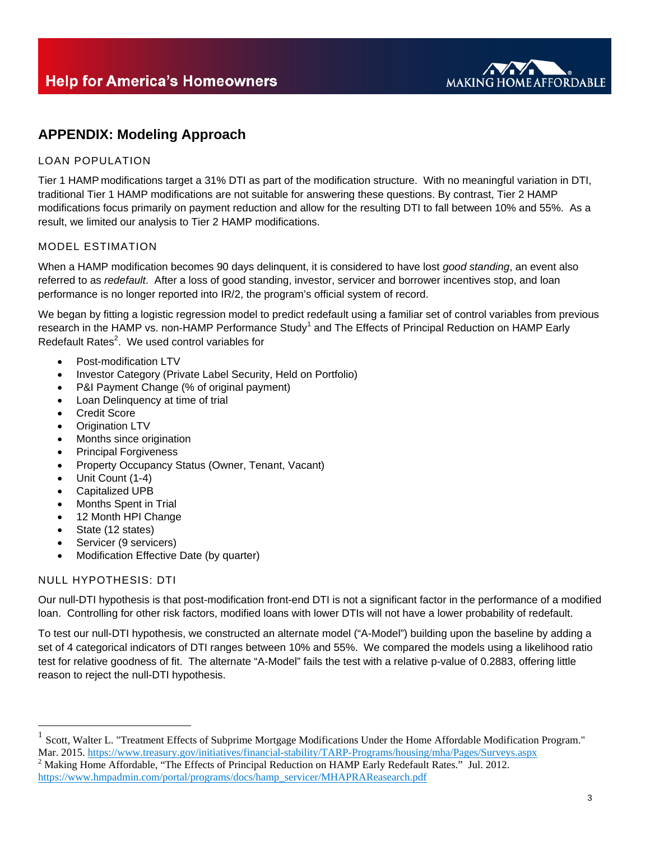

## **APPENDIX: Modeling Approach**

## LOAN POPULATION

Tier 1 HAMP modifications target a 31% DTI as part of the modification structure. With no meaningful variation in DTI, traditional Tier 1 HAMP modifications are not suitable for answering these questions. By contrast, Tier 2 HAMP modifications focus primarily on payment reduction and allow for the resulting DTI to fall between 10% and 55%. As a result, we limited our analysis to Tier 2 HAMP modifications.

#### MODEL ESTIMATION

When a HAMP modification becomes 90 days delinquent, it is considered to have lost *good standing*, an event also referred to as *redefault*. After a loss of good standing, investor, servicer and borrower incentives stop, and loan performance is no longer reported into IR/2, the program's official system of record.

We began by fitting a logistic regression model to predict redefault using a familiar set of control variables from previous research in the HAMP vs. non-HAMP Performance Study<sup>1</sup> and The Effects of Principal Reduction on HAMP Early Redefault Rates<sup>2</sup>. We used control variables for

- Post-modification LTV
- Investor Category (Private Label Security, Held on Portfolio)
- P&I Payment Change (% of original payment)
- Loan Delinquency at time of trial
- Credit Score
- Origination LTV
- Months since origination
- Principal Forgiveness
- Property Occupancy Status (Owner, Tenant, Vacant)
- Unit Count (1-4)
- Capitalized UPB
- Months Spent in Trial
- 12 Month HPI Change
- State (12 states)
- Servicer (9 servicers)
- Modification Effective Date (by quarter)

#### NULL HYPOTHESIS: DTI

 $\overline{a}$ 

Our null-DTI hypothesis is that post-modification front-end DTI is not a significant factor in the performance of a modified loan. Controlling for other risk factors, modified loans with lower DTIs will not have a lower probability of redefault.

To test our null-DTI hypothesis, we constructed an alternate model ("A-Model") building upon the baseline by adding a set of 4 categorical indicators of DTI ranges between 10% and 55%. We compared the models using a likelihood ratio test for relative goodness of fit. The alternate "A-Model" fails the test with a relative p-value of 0.2883, offering little reason to reject the null-DTI hypothesis.

<sup>1</sup> Scott, Walter L. "Treatment Effects of Subprime Mortgage Modifications Under the Home Affordable Modification Program." Mar. 2015. https://www.treasury.gov/initiatives/financial-stability/TARP-Programs/housing/mha/Pages/Surveys.aspx  $2$  Making Home Affordable, "The Effects of Principal Reduction on HAMP Early Redefault Rates." Jul. 2012. https://www.hmpadmin.com/portal/programs/docs/hamp\_servicer/MHAPRAReasearch.pdf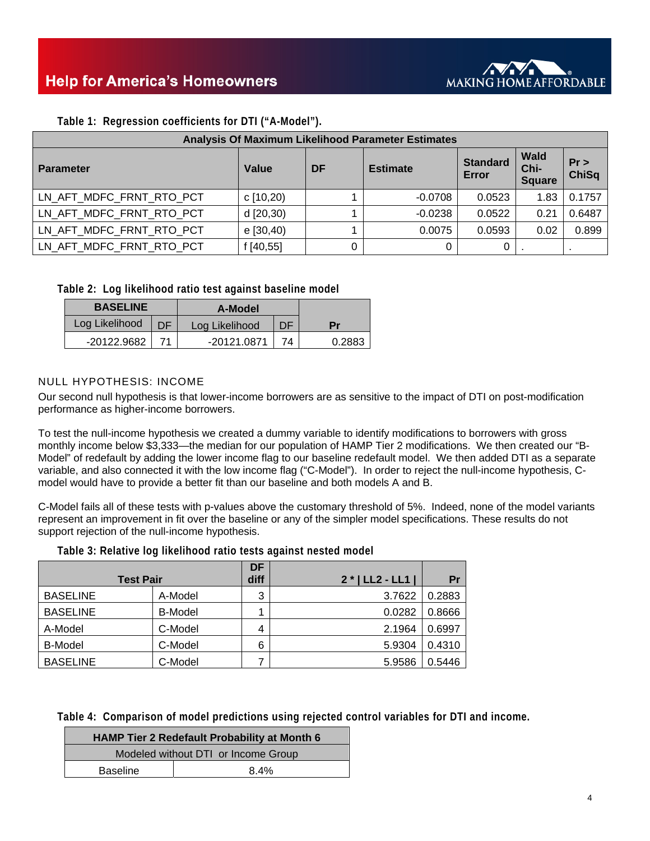

| Analysis Of Maximum Likelihood Parameter Estimates |           |          |                 |                          |                                      |                    |
|----------------------------------------------------|-----------|----------|-----------------|--------------------------|--------------------------------------|--------------------|
| <b>Parameter</b>                                   | Value     | DF       | <b>Estimate</b> | <b>Standard</b><br>Error | <b>Wald</b><br>Chi-<br><b>Square</b> | Pr<br><b>ChiSq</b> |
| LN_AFT_MDFC_FRNT_RTO_PCT                           | c[10,20)  |          | $-0.0708$       | 0.0523                   | 1.83                                 | 0.1757             |
| LN AFT MDFC FRNT RTO PCT                           | d [20,30) |          | $-0.0238$       | 0.0522                   | 0.21                                 | 0.6487             |
| LN AFT MDFC FRNT RTO PCT                           | e [30,40) |          | 0.0075          | 0.0593                   | 0.02                                 | 0.899              |
| LN AFT MDFC FRNT RTO PCT                           | [40, 55]  | $\Omega$ | 0               | 0                        |                                      |                    |

**Table 1: Regression coefficients for DTI ("A-Model").** 

**Table 2: Log likelihood ratio test against baseline model** 

| <b>BASELINE</b> |    | A-Model        |    |        |
|-----------------|----|----------------|----|--------|
| Log Likelihood  | DE | Log Likelihood | DF | Рr     |
| -20122.9682     |    | -20121.0871    | 74 | 0.2883 |

#### NULL HYPOTHESIS: INCOME

Our second null hypothesis is that lower-income borrowers are as sensitive to the impact of DTI on post-modification performance as higher-income borrowers.

To test the null-income hypothesis we created a dummy variable to identify modifications to borrowers with gross monthly income below \$3,333—the median for our population of HAMP Tier 2 modifications. We then created our "B-Model" of redefault by adding the lower income flag to our baseline redefault model. We then added DTI as a separate variable, and also connected it with the low income flag ("C-Model"). In order to reject the null-income hypothesis, Cmodel would have to provide a better fit than our baseline and both models A and B.

C-Model fails all of these tests with p-values above the customary threshold of 5%. Indeed, none of the model variants represent an improvement in fit over the baseline or any of the simpler model specifications. These results do not support rejection of the null-income hypothesis.

**Table 3: Relative log likelihood ratio tests against nested model** 

| <b>Test Pair</b> |                | <b>DF</b><br>diff | $2 *   LL2 - LL1  $ | Pr     |
|------------------|----------------|-------------------|---------------------|--------|
| <b>BASELINE</b>  | A-Model        | 3                 | 3.7622              | 0.2883 |
| <b>BASELINE</b>  | <b>B-Model</b> |                   | 0.0282              | 0.8666 |
| A-Model          | C-Model        | 4                 | 2.1964              | 0.6997 |
| <b>B-Model</b>   | C-Model        | 6                 | 5.9304              | 0.4310 |
| <b>BASELINE</b>  | C-Model        |                   | 5.9586              | 0.5446 |

**Table 4: Comparison of model predictions using rejected control variables for DTI and income.** 

| <b>HAMP Tier 2 Redefault Probability at Month 6</b> |      |  |  |  |
|-----------------------------------------------------|------|--|--|--|
| Modeled without DTI or Income Group                 |      |  |  |  |
| <b>Baseline</b>                                     | 8.4% |  |  |  |